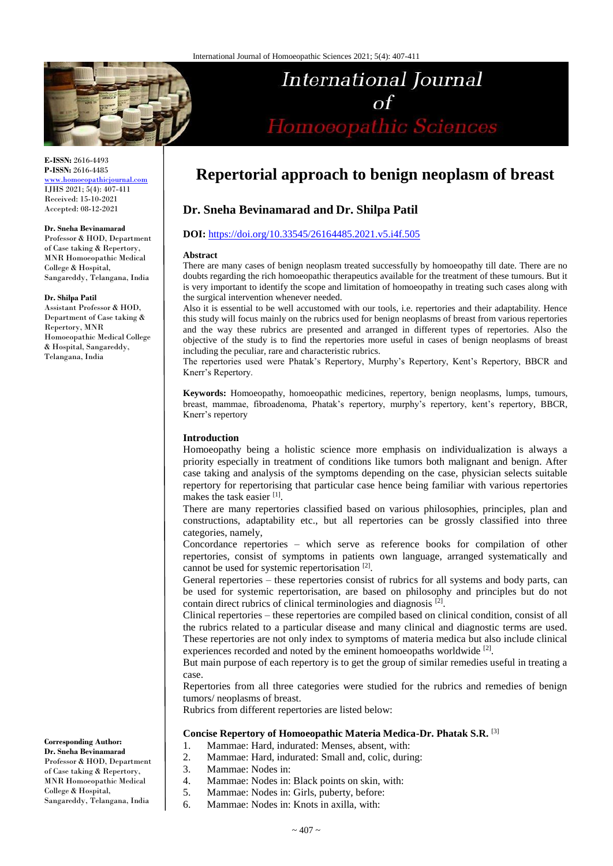

**E-ISSN:** 2616-4493 **P-ISSN:** 2616-4485 [www.homoeopathicjournal.com](file://Server/test/homoeopathicjournal/issue/vol%204/issue%201/www.homoeopathicjournal.com)

IJHS 2021; 5(4): 407-411 Received: 15-10-2021 Accepted: 08-12-2021

#### **Dr. Sneha Bevinamarad**

Professor & HOD, Department of Case taking & Repertory, MNR Homoeopathic Medical College & Hospital, Sangareddy, Telangana, India

#### **Dr. Shilpa Patil**

Assistant Professor & HOD, Department of Case taking & Repertory, MNR Homoeopathic Medical College & Hospital, Sangareddy, Telangana, India

#### **Corresponding Author: Dr. Sneha Bevinamarad**

Professor & HOD, Department of Case taking & Repertory, MNR Homoeopathic Medical College & Hospital, Sangareddy, Telangana, India

# **Repertorial approach to benign neoplasm of breast**

International Journal

Homoeopathic Sciences

# **Dr. Sneha Bevinamarad and Dr. Shilpa Patil**

#### **DOI:** <https://doi.org/10.33545/26164485.2021.v5.i4f.505>

#### **Abstract**

There are many cases of benign neoplasm treated successfully by homoeopathy till date. There are no doubts regarding the rich homoeopathic therapeutics available for the treatment of these tumours. But it is very important to identify the scope and limitation of homoeopathy in treating such cases along with the surgical intervention whenever needed.

Also it is essential to be well accustomed with our tools, i.e. repertories and their adaptability. Hence this study will focus mainly on the rubrics used for benign neoplasms of breast from various repertories and the way these rubrics are presented and arranged in different types of repertories. Also the objective of the study is to find the repertories more useful in cases of benign neoplasms of breast including the peculiar, rare and characteristic rubrics.

The repertories used were Phatak's Repertory, Murphy's Repertory, Kent's Repertory, BBCR and Knerr's Repertory.

**Keywords:** Homoeopathy, homoeopathic medicines, repertory, benign neoplasms, lumps, tumours, breast, mammae, fibroadenoma, Phatak's repertory, murphy's repertory, kent's repertory, BBCR, Knerr's repertory

# **Introduction**

Homoeopathy being a holistic science more emphasis on individualization is always a priority especially in treatment of conditions like tumors both malignant and benign. After case taking and analysis of the symptoms depending on the case, physician selects suitable repertory for repertorising that particular case hence being familiar with various repertories makes the task easier [1].

There are many repertories classified based on various philosophies, principles, plan and constructions, adaptability etc., but all repertories can be grossly classified into three categories, namely,

Concordance repertories – which serve as reference books for compilation of other repertories, consist of symptoms in patients own language, arranged systematically and cannot be used for systemic repertorisation [2].

General repertories – these repertories consist of rubrics for all systems and body parts, can be used for systemic repertorisation, are based on philosophy and principles but do not contain direct rubrics of clinical terminologies and diagnosis<sup>[2]</sup>.

Clinical repertories – these repertories are compiled based on clinical condition, consist of all the rubrics related to a particular disease and many clinical and diagnostic terms are used. These repertories are not only index to symptoms of materia medica but also include clinical experiences recorded and noted by the eminent homoeopaths worldwide [2].

But main purpose of each repertory is to get the group of similar remedies useful in treating a case.

Repertories from all three categories were studied for the rubrics and remedies of benign tumors/ neoplasms of breast.

Rubrics from different repertories are listed below:

# **Concise Repertory of Homoeopathic Materia Medica-Dr. Phatak S.R.** [3]

- 1. Mammae: Hard, indurated: Menses, absent, with:
- 2. Mammae: Hard, indurated: Small and, colic, during:
- 3. Mammae: Nodes in:
- 4. Mammae: Nodes in: Black points on skin, with:
- 5. Mammae: Nodes in: Girls, puberty, before:
- 6. Mammae: Nodes in: Knots in axilla, with: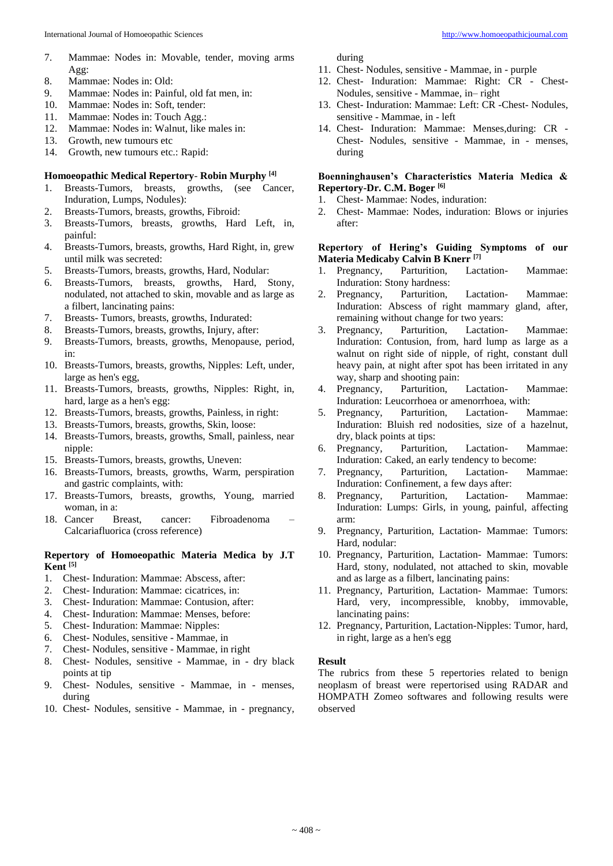- 7. Mammae: Nodes in: Movable, tender, moving arms Agg:
- 8. Mammae: Nodes in: Old:
- 9. Mammae: Nodes in: Painful, old fat men, in:
- 10. Mammae: Nodes in: Soft, tender:
- 11. Mammae: Nodes in: Touch Agg.:<br>12. Mammae: Nodes in: Walnut. like
- Mammae: Nodes in: Walnut, like males in:
- 13. Growth, new tumours etc
- 14. Growth, new tumours etc.: Rapid:

## **Homoeopathic Medical Repertory**- **Robin Murphy [4]**

- 1. Breasts-Tumors, breasts, growths, (see Cancer, Induration, Lumps, Nodules):
- 2. Breasts-Tumors, breasts, growths, Fibroid:
- 3. Breasts-Tumors, breasts, growths, Hard Left, in, painful:
- 4. Breasts-Tumors, breasts, growths, Hard Right, in, grew until milk was secreted:
- 5. Breasts-Tumors, breasts, growths, Hard, Nodular:
- 6. Breasts-Tumors, breasts, growths, Hard, Stony, nodulated, not attached to skin, movable and as large as a filbert, lancinating pains:
- 7. Breasts- Tumors, breasts, growths, Indurated:
- 8. Breasts-Tumors, breasts, growths, Injury, after:
- 9. Breasts-Tumors, breasts, growths, Menopause, period, in:
- 10. Breasts-Tumors, breasts, growths, Nipples: Left, under, large as hen's egg,
- 11. Breasts-Tumors, breasts, growths, Nipples: Right, in, hard, large as a hen's egg:
- 12. Breasts-Tumors, breasts, growths, Painless, in right:
- 13. Breasts-Tumors, breasts, growths, Skin, loose:
- 14. Breasts-Tumors, breasts, growths, Small, painless, near nipple:
- 15. Breasts-Tumors, breasts, growths, Uneven:
- 16. Breasts-Tumors, breasts, growths, Warm, perspiration and gastric complaints, with:
- 17. Breasts-Tumors, breasts, growths, Young, married woman, in a:
- 18. Cancer Breast, cancer: Fibroadenoma Calcariafluorica (cross reference)

## **Repertory of Homoeopathic Materia Medica by J.T Kent [5]**

- 1. Chest- Induration: Mammae: Abscess, after:
- 2. Chest- Induration: Mammae: cicatrices, in:
- 3. Chest- Induration: Mammae: Contusion, after:
- 4. Chest- Induration: Mammae: Menses, before:
- 5. Chest- Induration: Mammae: Nipples:
- 6. Chest- Nodules, sensitive Mammae, in
- 7. Chest- Nodules, sensitive Mammae, in right
- 8. Chest- Nodules, sensitive Mammae, in dry black points at tip
- 9. Chest- Nodules, sensitive Mammae, in menses, during
- 10. Chest- Nodules, sensitive Mammae, in pregnancy,

during

- 11. Chest- Nodules, sensitive Mammae, in purple
- 12. Chest- Induration: Mammae: Right: CR Chest-Nodules, sensitive - Mammae, in– right
- 13. Chest- Induration: Mammae: Left: CR -Chest- Nodules, sensitive - Mammae, in - left
- 14. Chest- Induration: Mammae: Menses,during: CR Chest- Nodules, sensitive - Mammae, in - menses, during

## **Boenninghausen's Characteristics Materia Medica & Repertory-Dr. C.M. Boger [6]**

- 1. Chest- Mammae: Nodes, induration:
- 2. Chest- Mammae: Nodes, induration: Blows or injuries after:

# **Repertory of Hering's Guiding Symptoms of our Materia Medicaby Calvin B Knerr [7]**

- 1. Pregnancy, Parturition, Lactation- Mammae: Induration: Stony hardness:
- 2. Pregnancy, Parturition, Lactation- Mammae: Induration: Abscess of right mammary gland, after, remaining without change for two years:
- 3. Pregnancy, Parturition, Lactation- Mammae: Induration: Contusion, from, hard lump as large as a walnut on right side of nipple, of right, constant dull heavy pain, at night after spot has been irritated in any way, sharp and shooting pain:
- 4. Pregnancy, Parturition, Lactation- Mammae: Induration: Leucorrhoea or amenorrhoea, with:
- 5. Pregnancy, Parturition, Lactation- Mammae: Induration: Bluish red nodosities, size of a hazelnut, dry, black points at tips:
- 6. Pregnancy, Parturition, Lactation- Mammae: Induration: Caked, an early tendency to become:
- 7. Pregnancy, Parturition, Lactation- Mammae: Induration: Confinement, a few days after:
- 8. Pregnancy, Parturition, Lactation- Mammae: Induration: Lumps: Girls, in young, painful, affecting arm:
- 9. Pregnancy, Parturition, Lactation- Mammae: Tumors: Hard, nodular:
- 10. Pregnancy, Parturition, Lactation- Mammae: Tumors: Hard, stony, nodulated, not attached to skin, movable and as large as a filbert, lancinating pains:
- 11. Pregnancy, Parturition, Lactation- Mammae: Tumors: Hard, very, incompressible, knobby, immovable, lancinating pains:
- 12. Pregnancy, Parturition, Lactation-Nipples: Tumor, hard, in right, large as a hen's egg

#### **Result**

The rubrics from these 5 repertories related to benign neoplasm of breast were repertorised using RADAR and HOMPATH Zomeo softwares and following results were observed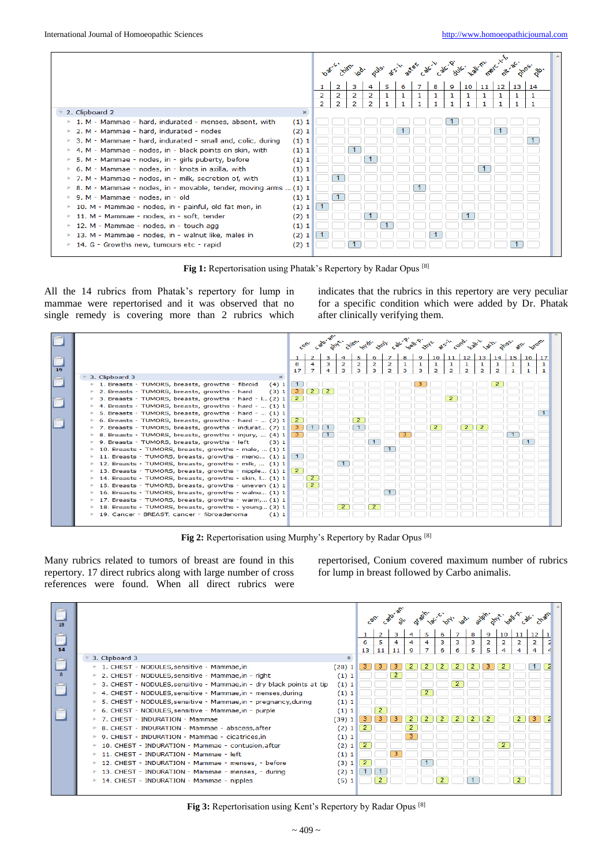|                                                                                  |                |                |                |   |  |   | to the sub- and a see all the age of the law the set it is a |                 |                 |                 |    | <b>Sp.</b> | 木 |
|----------------------------------------------------------------------------------|----------------|----------------|----------------|---|--|---|--------------------------------------------------------------|-----------------|-----------------|-----------------|----|------------|---|
|                                                                                  |                |                | 3              |   |  | 8 | 9                                                            | 10 <sup>1</sup> | 11 <sup>1</sup> | 12 <sup>2</sup> | 13 | 14         |   |
|                                                                                  | $\overline{2}$ | 2              | $\overline{2}$ | 2 |  |   |                                                              |                 |                 |                 |    |            |   |
|                                                                                  | $\overline{2}$ | $\overline{2}$ | $\overline{2}$ | 2 |  |   |                                                              |                 |                 |                 |    |            |   |
| 2. Clipboard 2<br>$\mathbb{H}$ .                                                 |                |                |                |   |  |   |                                                              |                 |                 |                 |    |            |   |
| 1. M - Mammae - hard, indurated - menses, absent, with<br>(1) 1<br>Þ.            |                |                |                |   |  |   |                                                              |                 |                 |                 |    |            |   |
| 2. M - Mammae - hard, indurated - nodes<br>(2)1<br>Þ.                            |                |                |                |   |  |   |                                                              |                 |                 |                 |    |            |   |
| (1)1<br>3. M - Mammae - hard, indurated - small and, colic, during               |                |                |                |   |  |   |                                                              |                 |                 |                 |    |            |   |
| ▶ 4. M - Mammae - nodes, in - black points on skin, with<br>(1) 1                |                |                |                |   |  |   |                                                              |                 |                 |                 |    |            |   |
| 5. M - Mammae - nodes, in - girls puberty, before<br>(1) 1<br>Þ.                 |                |                |                |   |  |   |                                                              |                 |                 |                 |    |            |   |
| ▶ 6. M - Mammae - nodes, in - knots in axilla, with<br>(1) 1                     |                |                |                |   |  |   |                                                              |                 |                 |                 |    |            |   |
| ▶ 7. M - Mammae - nodes, in - milk, secretion of, with<br>(1) 1                  |                |                |                |   |  |   |                                                              |                 |                 |                 |    |            |   |
| $\triangleright$ 8. M - Mammae - nodes, in - movable, tender, moving arms  (1) 1 |                |                |                |   |  |   |                                                              |                 |                 |                 |    |            |   |
| (1) 1<br>▶ 9. M - Mammae - nodes, in - old                                       |                |                |                |   |  |   |                                                              |                 |                 |                 |    |            |   |
| 10. M - Mammae - nodes, in - painful, old fat men, in<br>(1)1<br>Þ.              |                |                |                |   |  |   |                                                              |                 |                 |                 |    |            |   |
| 11. M - Mammae - nodes, in - soft, tender<br>(2) 1<br>Þ.                         |                |                |                |   |  |   |                                                              |                 |                 |                 |    |            |   |
| 12. M - Mammae - nodes, in - touch agg<br>(1) 1<br>P.                            |                |                |                |   |  |   |                                                              |                 |                 |                 |    |            |   |
| 13. M - Mammae - nodes, in - walnut like, males in<br>(2)1<br>Þ.                 |                |                |                |   |  |   |                                                              |                 |                 |                 |    |            |   |
| 14. G - Growths new, tumours etc - rapid<br>(2)1<br>Þ.                           |                |                |                |   |  |   |                                                              |                 |                 |                 |    |            |   |
|                                                                                  |                |                |                |   |  |   |                                                              |                 |                 |                 |    |            |   |

**Fig 1:** Repertorisation using Phatak's Repertory by Radar Opus [8]

All the 14 rubrics from Phatak's repertory for lump in mammae were repertorised and it was observed that no single remedy is covering more than 2 rubrics which

indicates that the rubrics in this repertory are very peculiar for a specific condition which were added by Dr. Phatak after clinically verifying them.

|    | Cato-an.<br>21/10 x1 dx, 21/21, calc wall 2 x1 h as a calc wall as a dx, and de-<br><b>Sole</b> .<br>Con.<br>str. |                |                |   |   |                |                |                |   |   |                |                |                |                |                |                 |              |   |
|----|-------------------------------------------------------------------------------------------------------------------|----------------|----------------|---|---|----------------|----------------|----------------|---|---|----------------|----------------|----------------|----------------|----------------|-----------------|--------------|---|
|    |                                                                                                                   |                |                |   |   |                | 6              |                | 8 | 9 | 10             | 11             | 12             | 13             | 14             | 15 <sup>1</sup> | $16 \mid 17$ |   |
|    |                                                                                                                   | 8              | 4              | з | 2 | $\overline{2}$ | $\overline{2}$ | $\overline{2}$ |   | 1 |                |                |                |                |                |                 |              | 1 |
| 19 |                                                                                                                   | 17             | $\overline{z}$ |   | з | з              | з              | $\mathbf{z}$   | з | з | $\overline{2}$ | $\overline{2}$ | $\overline{2}$ | $\overline{2}$ | $\overline{2}$ |                 |              | 1 |
|    | 3. Clipboard 3<br>$\infty$                                                                                        |                |                |   |   |                |                |                |   |   |                |                |                |                |                |                 |              |   |
|    | (4)1<br>$\triangleright$ 1. Breasts - TUMORS, breasts, growths - fibroid                                          |                |                |   |   |                |                |                |   |   |                |                |                |                |                |                 |              |   |
|    | 2. Breasts - TUMORS, breasts, growths - hard<br>(3) 1                                                             | з              |                |   |   |                |                |                |   |   |                |                |                |                |                |                 |              |   |
|    | 3. Breasts - TUMORS, breasts, growths - hard - $\left  \ldots \right $ (2) 1                                      | $\overline{2}$ |                |   |   |                |                |                |   |   |                |                |                |                |                |                 |              |   |
|    | 4. Breasts - TUMORS, breasts, growths - hard -  (1) 1                                                             |                |                |   |   |                |                |                |   |   |                |                |                |                |                |                 |              |   |
|    | 5. Breasts - TUMORS, breasts, growths - hard -  (1) 1                                                             |                |                |   |   |                |                |                |   |   |                |                |                |                |                |                 |              |   |
|    | 6. Breasts - TUMORS, breasts, growths - hard - $(2)$ 1                                                            | $\mathbf{2}$   |                |   |   |                |                |                |   |   |                |                |                |                |                |                 |              |   |
|    | 7. Breasts - TUMORS, breasts, growths - indurat (7) 1                                                             | з.             |                |   |   |                |                |                |   |   |                |                |                |                |                |                 |              |   |
|    | 8. Breasts - TUMORS, breasts, growths - injury,  (4) 1                                                            | 3              |                |   |   |                |                |                |   |   |                |                |                |                |                |                 |              |   |
|    | 9. Breasts - TUMORS, breasts, growths - left<br>(3)1                                                              |                |                |   |   |                |                |                |   |   |                |                |                |                |                |                 |              |   |
|    | 10. Breasts - TUMORS, breasts, growths - male,  (1) 1                                                             |                |                |   |   |                |                |                |   |   |                |                |                |                |                |                 |              |   |
|    | 11. Breasts - TUMORS, breasts, growths - meno $(1)$ 1                                                             |                |                |   |   |                |                |                |   |   |                |                |                |                |                |                 |              |   |
|    | 12. Breasts - TUMORS, breasts, growths - milk,  (1) 1                                                             |                |                |   |   |                |                |                |   |   |                |                |                |                |                |                 |              |   |
|    | 13. Breasts - TUMORS, breasts, growths - nipple (1) 1                                                             | 2              |                |   |   |                |                |                |   |   |                |                |                |                |                |                 |              |   |
|    | 14. Breasts - TUMORS, breasts, growths - skin, I (1) 1                                                            |                |                |   |   |                |                |                |   |   |                |                |                |                |                |                 |              |   |
|    | 15. Breasts - TUMORS, breasts, growths - uneven (1) 1                                                             |                |                |   |   |                |                |                |   |   |                |                |                |                |                |                 |              |   |
|    | 16. Breasts - TUMORS, breasts, growths - walnu (1) 1                                                              |                |                |   |   |                |                |                |   |   |                |                |                |                |                |                 |              |   |
|    | $\triangleright$ 17. Breasts - TUMORS, breasts, growths - warm, (1) 1                                             |                |                |   |   |                |                |                |   |   |                |                |                |                |                |                 |              |   |
|    | 18. Breasts - TUMORS, breasts, growths - young (3) 1                                                              |                |                |   |   |                |                |                |   |   |                |                |                |                |                |                 |              |   |
|    | (1) 1<br>▶ 19. Cancer - BREAST, cancer - fibroadenoma                                                             |                |                |   |   |                |                |                |   |   |                |                |                |                |                |                 |              |   |

**Fig 2:** Repertorisation using Murphy's Repertory by Radar Opus [8]

Many rubrics related to tumors of breast are found in this repertory. 17 direct rubrics along with large number of cross references were found. When all direct rubrics were repertorised, Conium covered maximum number of rubrics for lump in breast followed by Carbo animalis.

| 18 |                                                                      |              |    |    | Calo, an |   |                |   |   | lat orlingo. submight pall of |   |                |    |    |  |
|----|----------------------------------------------------------------------|--------------|----|----|----------|---|----------------|---|---|-------------------------------|---|----------------|----|----|--|
|    |                                                                      |              | 1  |    | з        |   | 5              | 6 |   | 8                             | 9 | 10             | 11 | 12 |  |
|    |                                                                      |              | 6  | 5  | 4        | 4 | 4              | 3 | з | з                             | 2 | $\overline{2}$ | 2  | 2  |  |
| 14 |                                                                      |              | 13 | 11 | 11       | 9 | $\overline{7}$ | 6 | 6 | 5                             | 5 | 4              | 4  | 4  |  |
|    | 3. Clipboard 3                                                       | $\mathbb{R}$ |    |    |          |   |                |   |   |                               |   |                |    |    |  |
|    | 1. CHEST - NODULES, sensitive - Mammae, in                           | (28)1        |    |    |          |   |                |   |   |                               |   |                |    |    |  |
|    | 2. CHEST - NODULES, sensitive - Mammae, in - right                   | (1) 1        |    |    |          |   |                |   |   |                               |   |                |    |    |  |
|    | 3. CHEST - NODULES, sensitive - Mammae, in - dry black points at tip | (1)1         |    |    |          |   |                |   |   |                               |   |                |    |    |  |
|    | 4. CHEST - NODULES, sensitive - Mammae, in - menses, during          | (1) 1        |    |    |          |   |                |   |   |                               |   |                |    |    |  |
|    | 5. CHEST - NODULES, sensitive - Mammae, in - pregnancy, during       | (1) 1        |    |    |          |   |                |   |   |                               |   |                |    |    |  |
|    | 6. CHEST - NODULES, sensitive - Mammae, in - purple                  | (1)1         |    |    |          |   |                |   |   |                               |   |                |    |    |  |
|    | 7. CHEST - INDURATION - Mammae                                       | (39)<br>1    |    |    |          |   |                |   |   |                               |   |                |    |    |  |
|    | 8. CHEST - INDURATION - Mammae - abscess, after                      | (2)<br>1     |    |    |          |   |                |   |   |                               |   |                |    |    |  |
|    | 9. CHEST - INDURATION - Mammae - cicatrices, in                      | (1)1         |    |    |          |   |                |   |   |                               |   |                |    |    |  |
|    | 10. CHEST - INDURATION - Mammae - contusion, after                   | (2)1         |    |    |          |   |                |   |   |                               |   |                |    |    |  |
|    | 11. CHEST - INDURATION - Mammae - left                               | (1)1         |    |    |          |   |                |   |   |                               |   |                |    |    |  |
|    | 12. CHEST - INDURATION - Mammae - menses, - before                   | (3) 1        |    |    |          |   |                |   |   |                               |   |                |    |    |  |
|    | 13. CHEST - INDURATION - Mammae - menses, - during                   | (2)<br>-1    |    |    |          |   |                |   |   |                               |   |                |    |    |  |
|    | 14. CHEST - INDURATION - Mammae - nipples                            | (5)1         |    |    |          |   |                |   |   |                               |   |                |    |    |  |
|    |                                                                      |              |    |    |          |   |                |   |   |                               |   |                |    |    |  |

**Fig 3:** Repertorisation using Kent's Repertory by Radar Opus [8]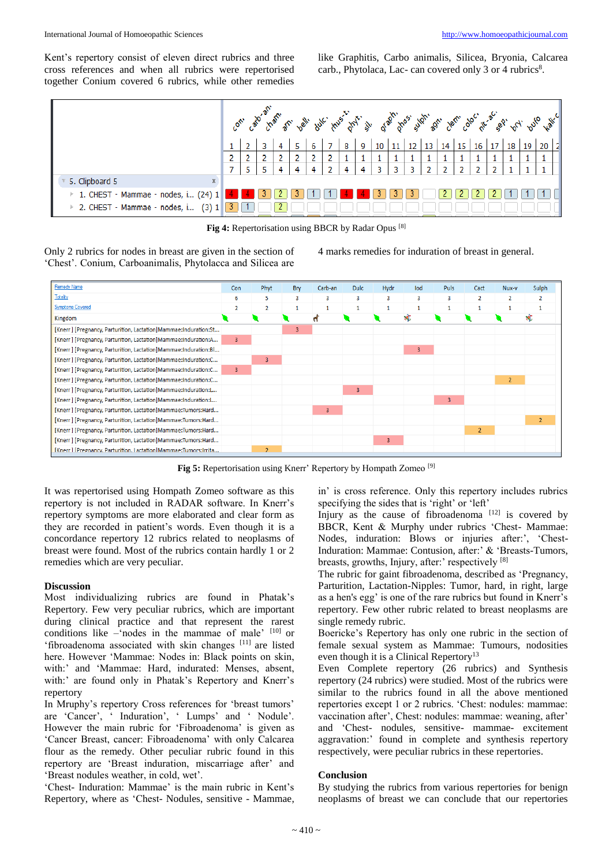Kent's repertory consist of eleven direct rubrics and three cross references and when all rubrics were repertorised together Conium covered 6 rubrics, while other remedies

like Graphitis, Carbo animalis, Silicea, Bryonia, Calcarea carb., Phytolaca, Lac- can covered only 3 or 4 rubrics<sup>8</sup>.



**Fig 4:** Repertorisation using BBCR by Radar Opus [8]

Only 2 rubrics for nodes in breast are given in the section of 'Chest'. Conium, Carboanimalis, Phytolacca and Silicea are

4 marks remedies for induration of breast in general.



**Fig 5:** Repertorisation using Knerr' Repertory by Hompath Zomeo [9]

It was repertorised using Hompath Zomeo software as this repertory is not included in RADAR software. In Knerr's repertory symptoms are more elaborated and clear form as they are recorded in patient's words. Even though it is a concordance repertory 12 rubrics related to neoplasms of breast were found. Most of the rubrics contain hardly 1 or 2 remedies which are very peculiar.

#### **Discussion**

Most individualizing rubrics are found in Phatak's Repertory. Few very peculiar rubrics, which are important during clinical practice and that represent the rarest conditions like –'nodes in the mammae of male' [10] or 'fibroadenoma associated with skin changes [11] are listed here. However 'Mammae: Nodes in: Black points on skin, with:' and 'Mammae: Hard, indurated: Menses, absent, with:' are found only in Phatak's Repertory and Knerr's repertory

In Mruphy's repertory Cross references for 'breast tumors' are 'Cancer', ' Induration', ' Lumps' and ' Nodule'. However the main rubric for 'Fibroadenoma' is given as 'Cancer Breast, cancer: Fibroadenoma' with only Calcarea flour as the remedy. Other peculiar rubric found in this repertory are 'Breast induration, miscarriage after' and 'Breast nodules weather, in cold, wet'.

'Chest- Induration: Mammae' is the main rubric in Kent's Repertory, where as 'Chest- Nodules, sensitive - Mammae,

in' is cross reference. Only this repertory includes rubrics specifying the sides that is 'right' or 'left'

Injury as the cause of fibroadenoma  $[12]$  is covered by BBCR, Kent & Murphy under rubrics 'Chest- Mammae: Nodes, induration: Blows or injuries after:', 'Chest-Induration: Mammae: Contusion, after:' & 'Breasts-Tumors, breasts, growths, Injury, after:' respectively [8]

The rubric for gaint fibroadenoma, described as 'Pregnancy, Parturition, Lactation-Nipples: Tumor, hard, in right, large as a hen's egg' is one of the rare rubrics but found in Knerr's repertory. Few other rubric related to breast neoplasms are single remedy rubric.

Boericke's Repertory has only one rubric in the section of female sexual system as Mammae: Tumours, nodosities even though it is a Clinical Repertory<sup>13</sup>

Even Complete repertory (26 rubrics) and Synthesis repertory (24 rubrics) were studied. Most of the rubrics were similar to the rubrics found in all the above mentioned repertories except 1 or 2 rubrics. 'Chest: nodules: mammae: vaccination after', Chest: nodules: mammae: weaning, after' and 'Chest- nodules, sensitive- mammae- excitement aggravation:' found in complete and synthesis repertory respectively, were peculiar rubrics in these repertories.

#### **Conclusion**

By studying the rubrics from various repertories for benign neoplasms of breast we can conclude that our repertories